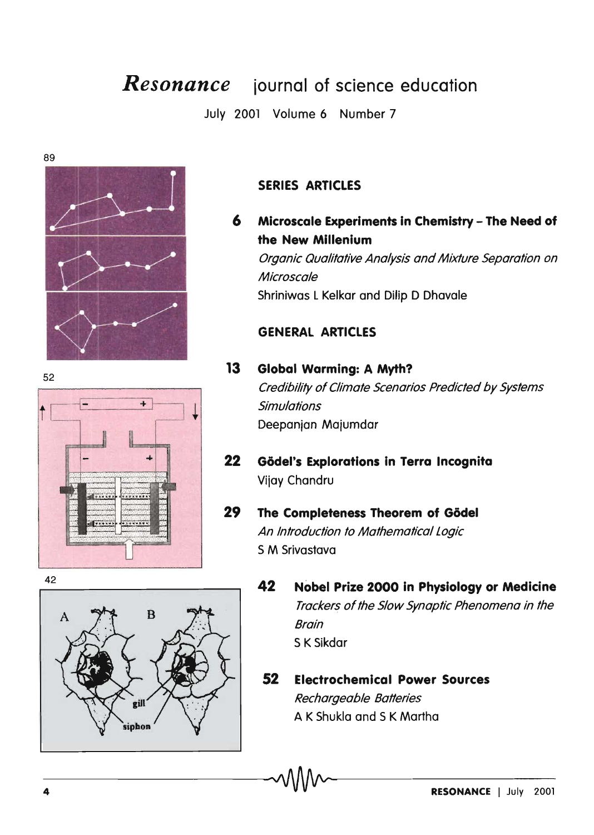# *Resonance* **iournal of science education**

July 2001 Volume 6 Number 7

89



# **SERIES ARTICLES**

**6 Mlcroscale Experiments In Chemistry - The Need of the New Millenium**  Organic Qualitative Analysis and Mixture Separation on **Microscale** Shriniwas l Kelkar and Dilip D Dhavale

## **GENERAL ARTICLES**

# **13 Global Warming: A Myth?**  Credibility of Climate Scenarios Predicted by Systems **Simulations** Deepanjan Majumdar

**22 Gadel's Explorations in Terra Incognita**  Vijay Chandru

#### **29 The Completeness Theorem of Gödel** An Introduction to Mathematical Logic S M Srivastava

- **42 Nobel Prize 2000 In Physiology or Medicine**  Trackers of the Slow Synaptic Phenomena in the Brain S K Sikdar
- **52 Electrochemical Power Sources**  Rechargeable Batteries A K Shukla and S K Martha